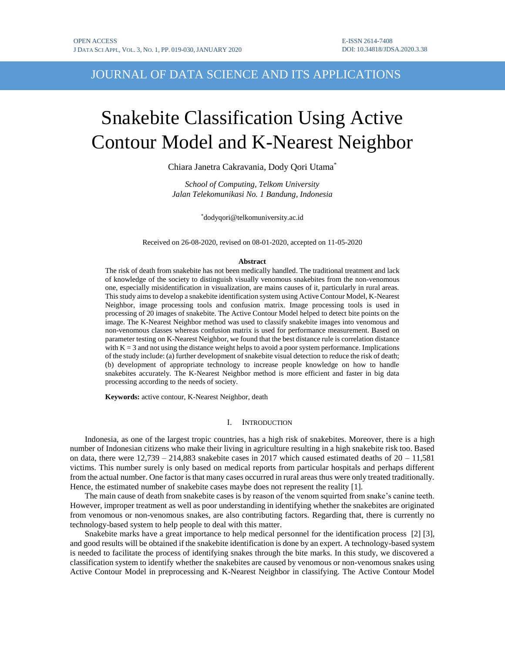# JOURNAL OF DATA SCIENCE AND ITS APPLICATIONS

# Snakebite Classification Using Active Contour Model and K-Nearest Neighbor

Chiara Janetra Cakravania, Dody Qori Utama\*

*School of Computing, Telkom University Jalan Telekomunikasi No. 1 Bandung, Indonesia*

\*dodyqori@telkomuniversity.ac.id

Received on 26-08-2020, revised on 08-01-2020, accepted on 11-05-2020

#### **Abstract**

The risk of death from snakebite has not been medically handled. The traditional treatment and lack of knowledge of the society to distinguish visually venomous snakebites from the non-venomous one, especially misidentification in visualization, are mains causes of it, particularly in rural areas. This study aims to develop a snakebite identification system using Active Contour Model, K-Nearest Neighbor, image processing tools and confusion matrix. Image processing tools is used in processing of 20 images of snakebite. The Active Contour Model helped to detect bite points on the image. The K-Nearest Neighbor method was used to classify snakebite images into venomous and non-venomous classes whereas confusion matrix is used for performance measurement. Based on parameter testing on K-Nearest Neighbor, we found that the best distance rule is correlation distance with  $K = 3$  and not using the distance weight helps to avoid a poor system performance. Implications of the study include: (a) further development of snakebite visual detection to reduce the risk of death; (b) development of appropriate technology to increase people knowledge on how to handle snakebites accurately. The K-Nearest Neighbor method is more efficient and faster in big data processing according to the needs of society.

**Keywords:** active contour, K-Nearest Neighbor, death

### I. INTRODUCTION

Indonesia, as one of the largest tropic countries, has a high risk of snakebites. Moreover, there is a high number of Indonesian citizens who make their living in agriculture resulting in a high snakebite risk too. Based on data, there were  $12,739 - 214,883$  snakebite cases in 2017 which caused estimated deaths of  $20 - 11,581$ victims. This number surely is only based on medical reports from particular hospitals and perhaps different from the actual number. One factor is that many cases occurred in rural areas thus were only treated traditionally. Hence, the estimated number of snakebite cases maybe does not represent the reality [1].

The main cause of death from snakebite cases is by reason of the venom squirted from snake's canine teeth. However, improper treatment as well as poor understanding in identifying whether the snakebites are originated from venomous or non-venomous snakes, are also contributing factors. Regarding that, there is currently no technology-based system to help people to deal with this matter.

Snakebite marks have a great importance to help medical personnel for the identification process [2] [3], and good results will be obtained if the snakebite identification is done by an expert. A technology-based system is needed to facilitate the process of identifying snakes through the bite marks. In this study, we discovered a classification system to identify whether the snakebites are caused by venomous or non-venomous snakes using Active Contour Model in preprocessing and K-Nearest Neighbor in classifying. The Active Contour Model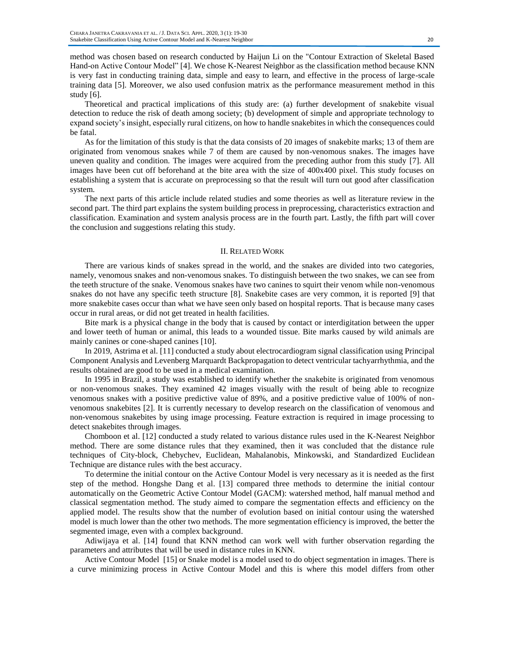method was chosen based on research conducted by Haijun Li on the "Contour Extraction of Skeletal Based Hand-on Active Contour Model" [4]. We chose K-Nearest Neighbor as the classification method because KNN is very fast in conducting training data, simple and easy to learn, and effective in the process of large-scale training data [5]. Moreover, we also used confusion matrix as the performance measurement method in this study [6].

Theoretical and practical implications of this study are: (a) further development of snakebite visual detection to reduce the risk of death among society; (b) development of simple and appropriate technology to expand society's insight, especially rural citizens, on how to handle snakebites in which the consequences could be fatal.

As for the limitation of this study is that the data consists of 20 images of snakebite marks; 13 of them are originated from venomous snakes while 7 of them are caused by non-venomous snakes. The images have uneven quality and condition. The images were acquired from the preceding author from this study [7]. All images have been cut off beforehand at the bite area with the size of 400x400 pixel. This study focuses on establishing a system that is accurate on preprocessing so that the result will turn out good after classification system.

The next parts of this article include related studies and some theories as well as literature review in the second part. The third part explains the system building process in preprocessing, characteristics extraction and classification. Examination and system analysis process are in the fourth part. Lastly, the fifth part will cover the conclusion and suggestions relating this study.

#### II. RELATED WORK

There are various kinds of snakes spread in the world, and the snakes are divided into two categories, namely, venomous snakes and non-venomous snakes. To distinguish between the two snakes, we can see from the teeth structure of the snake. Venomous snakes have two canines to squirt their venom while non-venomous snakes do not have any specific teeth structure [8]. Snakebite cases are very common, it is reported [9] that more snakebite cases occur than what we have seen only based on hospital reports. That is because many cases occur in rural areas, or did not get treated in health facilities.

Bite mark is a physical change in the body that is caused by contact or interdigitation between the upper and lower teeth of human or animal, this leads to a wounded tissue. Bite marks caused by wild animals are mainly canines or cone-shaped canines [10].

In 2019, Astrima et al. [11] conducted a study about electrocardiogram signal classification using Principal Component Analysis and Levenberg Marquardt Backpropagation to detect ventricular tachyarrhythmia, and the results obtained are good to be used in a medical examination.

In 1995 in Brazil, a study was established to identify whether the snakebite is originated from venomous or non-venomous snakes. They examined 42 images visually with the result of being able to recognize venomous snakes with a positive predictive value of 89%, and a positive predictive value of 100% of nonvenomous snakebites [2]. It is currently necessary to develop research on the classification of venomous and non-venomous snakebites by using image processing. Feature extraction is required in image processing to detect snakebites through images.

Chomboon et al. [12] conducted a study related to various distance rules used in the K-Nearest Neighbor method. There are some distance rules that they examined, then it was concluded that the distance rule techniques of City-block, Chebychev, Euclidean, Mahalanobis, Minkowski, and Standardized Euclidean Technique are distance rules with the best accuracy.

To determine the initial contour on the Active Contour Model is very necessary as it is needed as the first step of the method. Hongshe Dang et al. [13] compared three methods to determine the initial contour automatically on the Geometric Active Contour Model (GACM): watershed method, half manual method and classical segmentation method. The study aimed to compare the segmentation effects and efficiency on the applied model. The results show that the number of evolution based on initial contour using the watershed model is much lower than the other two methods. The more segmentation efficiency is improved, the better the segmented image, even with a complex background.

Adiwijaya et al. [14] found that KNN method can work well with further observation regarding the parameters and attributes that will be used in distance rules in KNN.

Active Contour Model [15] or Snake model is a model used to do object segmentation in images. There is a curve minimizing process in Active Contour Model and this is where this model differs from other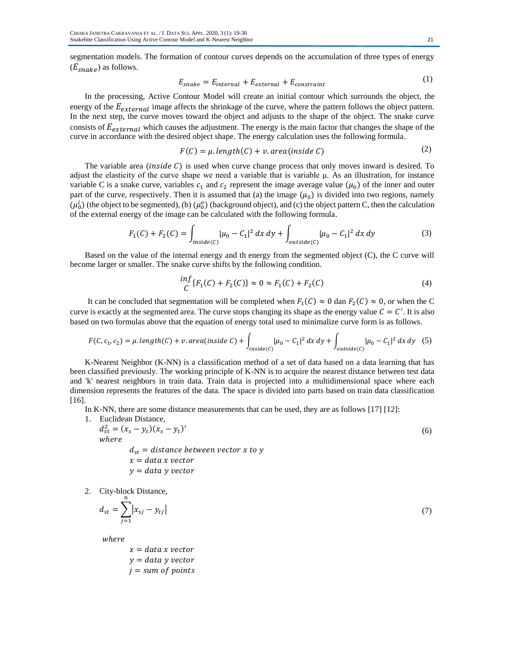segmentation models. The formation of contour curves depends on the accumulation of three types of energy  $(E_{\text{snake}})$  as follows.

$$
E_{\text{snake}} = E_{\text{internal}} + E_{\text{external}} + E_{\text{constraint}} \tag{1}
$$

In the processing, Active Contour Model will create an initial contour which surrounds the object, the energy of the  $E_{external}$  image affects the shrinkage of the curve, where the pattern follows the object pattern. In the next step, the curve moves toward the object and adjusts to the shape of the object. The snake curve consists of  $E_{external}$  which causes the adjustment. The energy is the main factor that changes the shape of the curve in accordance with the desired object shape. The energy calculation uses the following formula.

$$
F(C) = \mu.length(C) + \nu area (inside C)
$$
 (2)

The variable area (inside  $C$ ) is used when curve change process that only moves inward is desired. To adjust the elasticity of the curve shape we need a variable that is variable μ. As an illustration, for instance variable C is a snake curve, variables  $c_1$  and  $c_2$  represent the image average value  $(\mu_0)$  of the inner and outer part of the curve, respectively. Then it is assumed that (a) the image  $(\mu_0)$  is divided into two regions, namely  $(\mu_0^i)$  (the object to be segmented), (b)  $(\mu_0^o)$  (background object), and (c) the object pattern C, then the calculation of the external energy of the image can be calculated with the following formula.

$$
F_1(C) + F_2(C) = \int_{inside(C)} |\mu_0 - C_1|^2 dx dy + \int_{outside(C)} |\mu_0 - C_1|^2 dx dy
$$
 (3)

Based on the value of the internal energy and th energy from the segmented object (C), the C curve will become larger or smaller. The snake curve shifts by the following condition.

$$
\frac{\inf}{C} \{F_1(C) + F_2(C)\} \approx 0 \approx F_1(C) + F_2(C) \tag{4}
$$

It can be concluded that segmentation will be completed when  $F_1(C) \approx 0$  dan  $F_2(C) \approx 0$ , or when the C curve is exactly at the segmented area. The curve stops changing its shape as the energy value  $C = C'$ . It is also based on two formulas above that the equation of energy total used to minimalize curve form is as follows.

$$
F(C, c_1, c_2) = \mu \cdot length(C) + \nu \cdot area (inside C) + \int_{inside(C)} |\mu_0 - C_1|^2 dx dy + \int_{outside(C)} |\mu_0 - C_1|^2 dx dy
$$
 (5)

K-Nearest Neighbor (K-NN) is a classification method of a set of data based on a data learning that has been classified previously. The working principle of K-NN is to acquire the nearest distance between test data and 'k' nearest neighbors in train data. Train data is projected into a multidimensional space where each dimension represents the features of the data. The space is divided into parts based on train data classification [16].

In K-NN, there are some distance measurements that can be used, they are as follows [17] [12]:

\n- 1. Euclidean Distance, 
$$
d_{st}^2 = (x_s - y_t)(x_s - y_t)'
$$
\n- where  $d_{st} = \text{distance between vector } x \text{ to } y$   $x = \text{data } x \text{ vector}$
\n

$$
y = data \ y \ vector
$$

2. City-block Distance,  $\boldsymbol{n}$ 

$$
=\sum_{j=1}|x_{sj}-y_{tj}|
$$
\n(7)

where

 $d_{st}$ 

$$
x = data x vector\n y = data y vector\n j = sum of points
$$

 $(1)$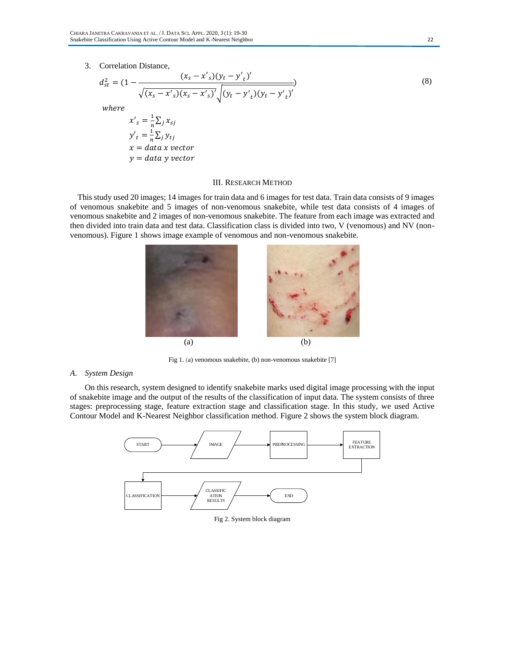#### 3. Correlation Distance,

$$
d_{st}^{2} = (1 - \frac{(x_s - x'_s)(y_t - y'_t)^{'}}{\sqrt{(x_s - x'_s)(x_s - x'_s)}' \sqrt{(y_t - y'_t)(y_t - y'_t)}' }
$$
(8)

where

 $x'_{s} = \frac{1}{n}$  $\frac{1}{n}\sum_j x_{sj}$  $y'_t = \frac{1}{n}$  $\frac{1}{n}\sum_j y_{tj}$  $x = data x vector$  $y = data$  y vector

#### III. RESEARCH METHOD

This study used 20 images; 14 images for train data and 6 images for test data. Train data consists of 9 images of venomous snakebite and 5 images of non-venomous snakebite, while test data consists of 4 images of venomous snakebite and 2 images of non-venomous snakebite. The feature from each image was extracted and then divided into train data and test data. Classification class is divided into two, V (venomous) and NV (nonvenomous). Figure 1 shows image example of venomous and non-venomous snakebite.



Fig 1. (a) venomous snakebite, (b) non-venomous snakebite [7]

## *A. System Design*

On this research, system designed to identify snakebite marks used digital image processing with the input of snakebite image and the output of the results of the classification of input data. The system consists of three stages: preprocessing stage, feature extraction stage and classification stage. In this study, we used Active Contour Model and K-Nearest Neighbor classification method. Figure 2 shows the system block diagram.



Fig 2. System block diagram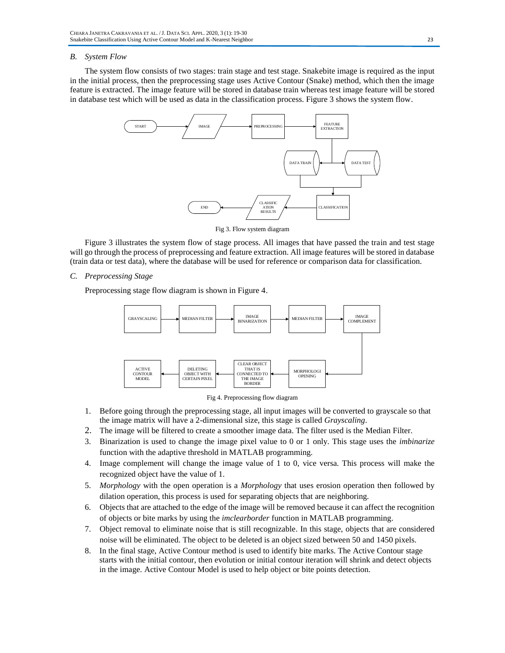# *B. System Flow*

The system flow consists of two stages: train stage and test stage. Snakebite image is required as the input in the initial process, then the preprocessing stage uses Active Contour (Snake) method, which then the image feature is extracted. The image feature will be stored in database train whereas test image feature will be stored in database test which will be used as data in the classification process. Figure 3 shows the system flow.



Fig 3. Flow system diagram

Figure 3 illustrates the system flow of stage process. All images that have passed the train and test stage will go through the process of preprocessing and feature extraction. All image features will be stored in database (train data or test data), where the database will be used for reference or comparison data for classification.

*C. Preprocessing Stage*

Preprocessing stage flow diagram is shown in Figure 4.



Fig 4. Preprocessing flow diagram

- 1. Before going through the preprocessing stage, all input images will be converted to grayscale so that the image matrix will have a 2-dimensional size, this stage is called *Grayscaling*.
- 2. The image will be filtered to create a smoother image data. The filter used is the Median Filter.
- 3. Binarization is used to change the image pixel value to 0 or 1 only. This stage uses the *imbinarize* function with the adaptive threshold in MATLAB programming.
- 4. Image complement will change the image value of 1 to 0, vice versa. This process will make the recognized object have the value of 1.
- 5. *Morphology* with the open operation is a *Morphology* that uses erosion operation then followed by dilation operation, this process is used for separating objects that are neighboring.
- 6. Objects that are attached to the edge of the image will be removed because it can affect the recognition of objects or bite marks by using the *imclearborder* function in MATLAB programming.
- 7. Object removal to eliminate noise that is still recognizable. In this stage, objects that are considered noise will be eliminated. The object to be deleted is an object sized between 50 and 1450 pixels.
- 8. In the final stage, Active Contour method is used to identify bite marks. The Active Contour stage starts with the initial contour, then evolution or initial contour iteration will shrink and detect objects in the image. Active Contour Model is used to help object or bite points detection.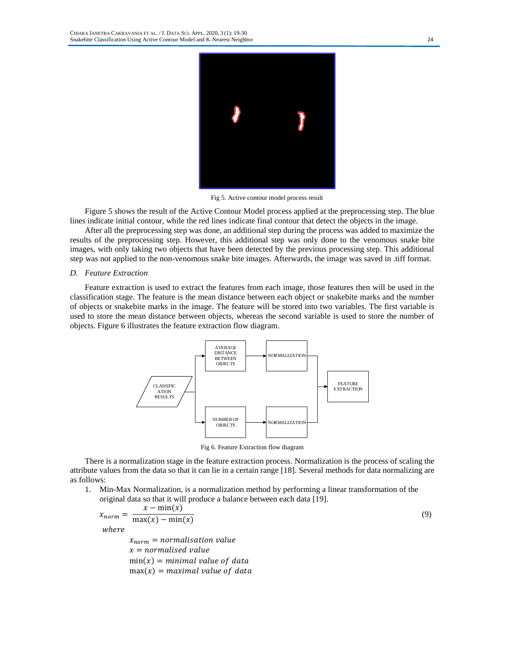

Fig 5. Active contour model process result

Figure 5 shows the result of the Active Contour Model process applied at the preprocessing step. The blue lines indicate initial contour, while the red lines indicate final contour that detect the objects in the image.

After all the preprocessing step was done, an additional step during the process was added to maximize the results of the preprocessing step. However, this additional step was only done to the venomous snake bite images, with only taking two objects that have been detected by the previous processing step. This additional step was not applied to the non-venomous snake bite images. Afterwards, the image was saved in .tiff format.

#### *D. Feature Extraction*

Feature extraction is used to extract the features from each image, those features then will be used in the classification stage. The feature is the mean distance between each object or snakebite marks and the number of objects or snakebite marks in the image. The feature will be stored into two variables. The first variable is used to store the mean distance between objects, whereas the second variable is used to store the number of objects. Figure 6 illustrates the feature extraction flow diagram.



Fig 6. Feature Extraction flow diagram

There is a normalization stage in the feature extraction process. Normalization is the process of scaling the attribute values from the data so that it can lie in a certain range [18]. Several methods for data normalizing are as follows:

1. Min-Max Normalization, is a normalization method by performing a linear transformation of the original data so that it will produce a balance between each data [19].

$$
x_{norm} = \frac{x - \min(x)}{\max(x) - \min(x)}
$$
  
where  

$$
x_{norm} = normalisation value
$$

$$
x = normalised value
$$
 (9)

 $min(x) = minimal value of data$ 

 $max(x) = maximal value of data$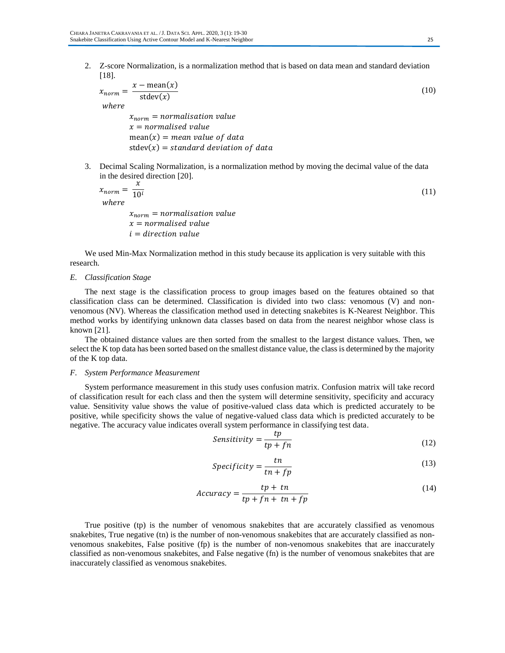2. Z-score Normalization*,* is a normalization method that is based on data mean and standard deviation [18].

$$
x_{norm} = \frac{x - mean(x)}{\text{stdev}(x)}
$$
  
where  

$$
x_{norm} = normalisation value
$$
 (10)

 $x = normalised value$  $mean(x) = mean$  value of data  $stdev(x) = standard deviation of data$ 

3. Decimal Scaling Normalization*,* is a normalization method by moving the decimal value of the data in the desired direction [20].

$$
x_{norm} = \frac{x}{10^i}
$$
 (11)

 $x_{norm}$  = normalisation value  $x = normalized value$  $i =$  direction value

We used Min-Max Normalization method in this study because its application is very suitable with this research.

#### *E. Classification Stage*

The next stage is the classification process to group images based on the features obtained so that classification class can be determined. Classification is divided into two class: venomous (V) and nonvenomous (NV). Whereas the classification method used in detecting snakebites is K-Nearest Neighbor. This method works by identifying unknown data classes based on data from the nearest neighbor whose class is known [21].

The obtained distance values are then sorted from the smallest to the largest distance values. Then, we select the K top data has been sorted based on the smallest distance value, the class is determined by the majority of the K top data.

# *F. System Performance Measurement*

System performance measurement in this study uses confusion matrix. Confusion matrix will take record of classification result for each class and then the system will determine sensitivity, specificity and accuracy value. Sensitivity value shows the value of positive-valued class data which is predicted accurately to be positive, while specificity shows the value of negative-valued class data which is predicted accurately to be negative. The accuracy value indicates overall system performance in classifying test data.

$$
Sensitivity = \frac{tp}{tp + fn}
$$
 (12)

$$
Specificity = \frac{tn}{tn + fp} \tag{13}
$$

$$
Accuracy = \frac{tp + tn}{tp + fn + tn + fp}
$$
 (14)

True positive (tp) is the number of venomous snakebites that are accurately classified as venomous snakebites, True negative (tn) is the number of non-venomous snakebites that are accurately classified as nonvenomous snakebites, False positive (fp) is the number of non-venomous snakebites that are inaccurately classified as non-venomous snakebites, and False negative (fn) is the number of venomous snakebites that are inaccurately classified as venomous snakebites.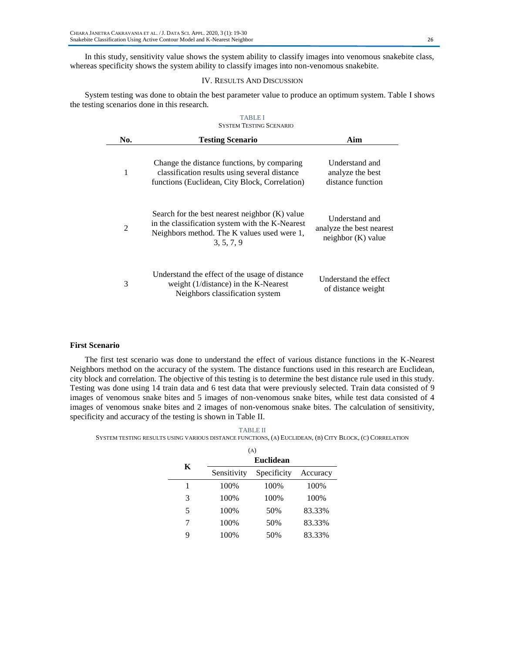In this study, sensitivity value shows the system ability to classify images into venomous snakebite class, whereas specificity shows the system ability to classify images into non-venomous snakebite.

# IV. RESULTS AND DISCUSSION

System testing was done to obtain the best parameter value to produce an optimum system. Table I shows the testing scenarios done in this research.

| <b>TABLEI</b><br><b>SYSTEM TESTING SCENARIO</b> |                                                                                                                                                                  |                                                                    |  |  |
|-------------------------------------------------|------------------------------------------------------------------------------------------------------------------------------------------------------------------|--------------------------------------------------------------------|--|--|
| No.                                             | <b>Testing Scenario</b>                                                                                                                                          | Aim                                                                |  |  |
| 1                                               | Change the distance functions, by comparing<br>classification results using several distance<br>functions (Euclidean, City Block, Correlation)                   | Understand and<br>analyze the best<br>distance function            |  |  |
| $\mathfrak{D}$                                  | Search for the best nearest neighbor $(K)$ value<br>in the classification system with the K-Nearest<br>Neighbors method. The K values used were 1,<br>3, 5, 7, 9 | Understand and<br>analyze the best nearest<br>neighbor $(K)$ value |  |  |
| 3                                               | Understand the effect of the usage of distance<br>weight $(1/distance)$ in the K-Nearest<br>Neighbors classification system                                      | Understand the effect<br>of distance weight                        |  |  |

# **First Scenario**

The first test scenario was done to understand the effect of various distance functions in the K-Nearest Neighbors method on the accuracy of the system. The distance functions used in this research are Euclidean, city block and correlation. The objective of this testing is to determine the best distance rule used in this study. Testing was done using 14 train data and 6 test data that were previously selected. Train data consisted of 9 images of venomous snake bites and 5 images of non-venomous snake bites, while test data consisted of 4 images of venomous snake bites and 2 images of non-venomous snake bites. The calculation of sensitivity, specificity and accuracy of the testing is shown in Table II.

#### TABLE II

#### SYSTEM TESTING RESULTS USING VARIOUS DISTANCE FUNCTIONS, (A) EUCLIDEAN, (B) CITY BLOCK, (C) CORRELATION

| (A) |                  |             |          |  |
|-----|------------------|-------------|----------|--|
| K   | <b>Euclidean</b> |             |          |  |
|     | Sensitivity      | Specificity | Accuracy |  |
| 1   | 100%             | 100%        | 100%     |  |
| 3   | 100%             | 100%        | 100%     |  |
| 5   | 100%             | 50%         | 83.33%   |  |
| 7   | 100%             | 50%         | 83.33%   |  |
| q   | 100%             | 50%         | 83.33%   |  |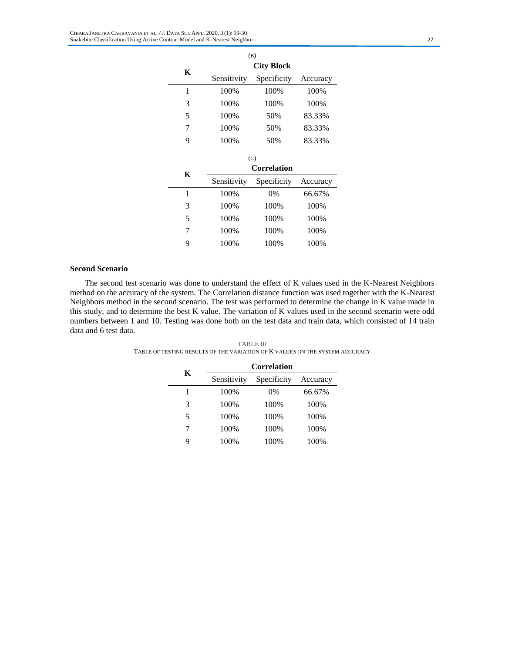| (B)       |                   |                           |          |  |  |
|-----------|-------------------|---------------------------|----------|--|--|
| K         | <b>City Block</b> |                           |          |  |  |
|           | Sensitivity       | Specificity               | Accuracy |  |  |
| 1         | 100%              | 100%                      | 100%     |  |  |
| 3         | 100%              |                           | 100%     |  |  |
| 5<br>100% |                   | 50%                       | 83.33%   |  |  |
| 7         | 100%              | 50%                       | 83.33%   |  |  |
| 9         | 100%              |                           | 83.33%   |  |  |
|           |                   |                           |          |  |  |
|           |                   |                           |          |  |  |
|           |                   | (C)<br><b>Correlation</b> |          |  |  |
| K         | Sensitivity       | Specificity               | Accuracy |  |  |
| 1         | 100%              | $0\%$                     | 66.67%   |  |  |
| 3         | 100%              | 100%                      | 100%     |  |  |
| 5         | 100%              | 100%                      | 100%     |  |  |
| 7         | 100%              | 100%                      | 100%     |  |  |

# **Second Scenario**

The second test scenario was done to understand the effect of K values used in the K-Nearest Neighbors method on the accuracy of the system. The Correlation distance function was used together with the K-Nearest Neighbors method in the second scenario. The test was performed to determine the change in K value made in this study, and to determine the best K value. The variation of K values used in the second scenario were odd numbers between 1 and 10. Testing was done both on the test data and train data, which consisted of 14 train data and 6 test data.

| K  | <b>Correlation</b> |             |          |  |
|----|--------------------|-------------|----------|--|
|    | Sensitivity        | Specificity | Accuracy |  |
|    | 100%               | $0\%$       | 66.67%   |  |
| 3  | 100%               | 100%        | 100%     |  |
| 5. | 100%               | 100%        | 100%     |  |
| 7  | 100%               | 100%        | 100%     |  |
|    | 100%               | 100%        | 100%     |  |

TABLE III TABLE OF TESTING RESULTS OF THE VARIATION OF K VALUES ON THE SYSTEM ACCURACY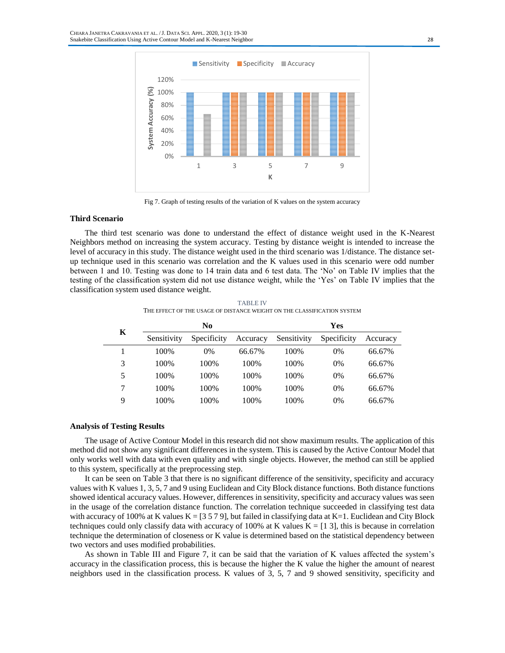

Fig 7. Graph of testing results of the variation of K values on the system accuracy

# **Third Scenario**

The third test scenario was done to understand the effect of distance weight used in the K-Nearest Neighbors method on increasing the system accuracy. Testing by distance weight is intended to increase the level of accuracy in this study. The distance weight used in the third scenario was 1/distance. The distance setup technique used in this scenario was correlation and the K values used in this scenario were odd number between 1 and 10. Testing was done to 14 train data and 6 test data. The 'No' on Table IV implies that the testing of the classification system did not use distance weight, while the 'Yes' on Table IV implies that the classification system used distance weight.

| Κ | N <sub>0</sub> |             | Yes      |             |             |          |
|---|----------------|-------------|----------|-------------|-------------|----------|
|   | Sensitivity    | Specificity | Accuracy | Sensitivity | Specificity | Accuracy |
|   | 100\%          | $0\%$       | 66.67%   | 100\%       | 0%          | 66.67%   |
| 3 | 100\%          | 100%        | 100%     | 100%        | 0%          | 66.67%   |
| 5 | 100%           | 100%        | 100%     | 100%        | 0%          | 66.67%   |
| 7 | 100%           | 100%        | 100%     | 100%        | 0%          | 66.67%   |
| 9 | 100%           | 100%        | 100%     | 100%        | 0%          | 66.67%   |

TABLE IV THE EFFECT OF THE USAGE OF DISTANCE WEIGHT ON THE CLASSIFICATION SYSTEM

# **Analysis of Testing Results**

The usage of Active Contour Model in this research did not show maximum results. The application of this method did not show any significant differences in the system. This is caused by the Active Contour Model that only works well with data with even quality and with single objects. However, the method can still be applied to this system, specifically at the preprocessing step.

It can be seen on Table 3 that there is no significant difference of the sensitivity, specificity and accuracy values with K values 1, 3, 5, 7 and 9 using Euclidean and City Block distance functions. Both distance functions showed identical accuracy values. However, differences in sensitivity, specificity and accuracy values was seen in the usage of the correlation distance function. The correlation technique succeeded in classifying test data with accuracy of 100% at K values  $K = [3 5 7 9]$ , but failed in classifying data at  $K=1$ . Euclidean and City Block techniques could only classify data with accuracy of 100% at K values  $K = [1 3]$ , this is because in correlation technique the determination of closeness or K value is determined based on the statistical dependency between two vectors and uses modified probabilities.

As shown in Table III and Figure 7, it can be said that the variation of K values affected the system's accuracy in the classification process, this is because the higher the K value the higher the amount of nearest neighbors used in the classification process. K values of 3, 5, 7 and 9 showed sensitivity, specificity and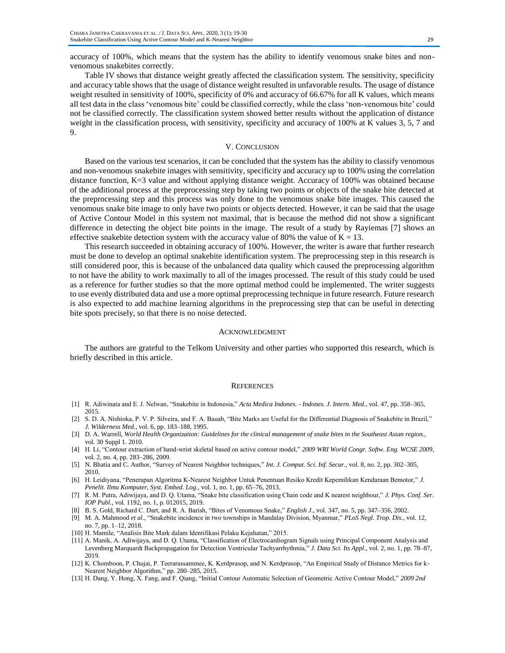accuracy of 100%, which means that the system has the ability to identify venomous snake bites and nonvenomous snakebites correctly.

Table IV shows that distance weight greatly affected the classification system. The sensitivity, specificity and accuracy table shows that the usage of distance weight resulted in unfavorable results. The usage of distance weight resulted in sensitivity of 100%, specificity of 0% and accuracy of 66.67% for all K values, which means all test data in the class 'venomous bite' could be classified correctly, while the class 'non-venomous bite' could not be classified correctly. The classification system showed better results without the application of distance weight in the classification process, with sensitivity, specificity and accuracy of 100% at K values 3, 5, 7 and 9.

#### V. CONCLUSION

Based on the various test scenarios, it can be concluded that the system has the ability to classify venomous and non-venomous snakebite images with sensitivity, specificity and accuracy up to 100% using the correlation distance function, K=3 value and without applying distance weight. Accuracy of 100% was obtained because of the additional process at the preprocessing step by taking two points or objects of the snake bite detected at the preprocessing step and this process was only done to the venomous snake bite images. This caused the venomous snake bite image to only have two points or objects detected. However, it can be said that the usage of Active Contour Model in this system not maximal, that is because the method did not show a significant difference in detecting the object bite points in the image. The result of a study by Rayiemas [7] shows an effective snakebite detection system with the accuracy value of 80% the value of  $K = 13$ .

This research succeeded in obtaining accuracy of 100%. However, the writer is aware that further research must be done to develop an optimal snakebite identification system. The preprocessing step in this research is still considered poor, this is because of the unbalanced data quality which caused the preprocessing algorithm to not have the ability to work maximally to all of the images processed. The result of this study could be used as a reference for further studies so that the more optimal method could be implemented. The writer suggests to use evenly distributed data and use a more optimal preprocessing technique in future research. Future research is also expected to add machine learning algorithms in the preprocessing step that can be useful in detecting bite spots precisely, so that there is no noise detected.

#### ACKNOWLEDGMENT

The authors are grateful to the Telkom University and other parties who supported this research, which is briefly described in this article.

#### REFERENCES

- [1] R. Adiwinata and E. J. Nelwan, "Snakebite in Indonesia," *Acta Medica Indones. - Indones. J. Intern. Med.*, vol. 47, pp. 358–365, 2015.
- [2] S. D. A. Nishioka, P. V. P. Silveira, and F. A. Bauab, "Bite Marks are Useful for the Differential Diagnosis of Snakebite in Brazil," *J. Wilderness Med.*, vol. 6, pp. 183–188, 1995.
- [3] D. A. Warrell, *World Health Organization: Guidelines for the clinical management of snake bites in the Southeast Asian region.*, vol. 30 Suppl 1. 2010.
- [4] H. Li, "Contour extraction of hand-wrist skeletal based on active contour model," *2009 WRI World Congr. Softw. Eng. WCSE 2009*, vol. 2, no. 4, pp. 283–286, 2009.
- [5] N. Bhatia and C. Author, "Survey of Nearest Neighbor techniques," *Int. J. Comput. Sci. Inf. Secur.*, vol. 8, no. 2, pp. 302–305, 2010.
- [6] H. Leidiyana, "Penerapan Algoritma K-Nearest Neighbor Untuk Penentuan Resiko Kredit Kepemilikan Kendaraan Bemotor," *J. Penelit. Ilmu Komputer, Syst. Embed. Log.*, vol. 1, no. 1, pp. 65–76, 2013.
- [7] R. M. Putra, Adiwijaya, and D. Q. Utama, "Snake bite classification using Chain code and K nearest neighbour," *J. Phys. Conf. Ser. IOP Publ.*, vol. 1192, no. 1, p. 012015, 2019.
- [8] B. S. Gold, Richard C. Dart, and R. A. Barish, "Bites of Venomous Snake," *English J.*, vol. 347, no. 5, pp. 347–356, 2002.
- [9] M. A. Mahmood *et al.*, "Snakebite incidence in two townships in Mandalay Division, Myanmar," *PLoS Negl. Trop. Dis.*, vol. 12, no. 7, pp. 1–12, 2018.
- [10] H. Mamile, "Analisis Bite Mark dalam Identifikasi Pelaku Kejahatan," 2015.
- [11] A. Manik, A. Adiwijaya, and D. Q. Utama, "Classification of Electrocardiogram Signals using Principal Component Analysis and Levenberg Marquardt Backpropagation for Detection Ventricular Tachyarrhythmia," *J. Data Sci. Its Appl.*, vol. 2, no. 1, pp. 78–87, 2019.
- [12] K. Chomboon, P. Chujai, P. Teerarassammee, K. Kerdprasop, and N. Kerdprasop, "An Empirical Study of Distance Metrics for k-Nearest Neighbor Algorithm," pp. 280–285, 2015.
- [13] H. Dang, Y. Hong, X. Fang, and F. Qiang, "Initial Contour Automatic Selection of Geometric Active Contour Model," *2009 2nd*